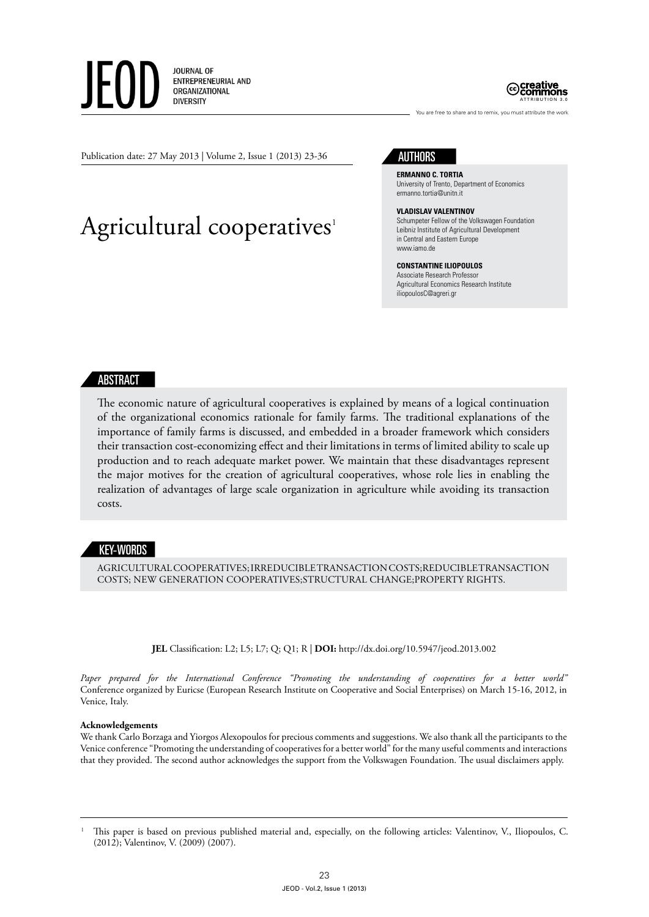**JOURNAL OF** ENTREPRENEURIAL AND ORGANIZATIONAL **DIVERSITY** 



You are free to share and to remix, you must attribute the work

Publication date: 27 May 2013 | Volume 2, Issue 1 (2013) 23-36

# Agricultural cooperatives<sup>1</sup>



**Ermanno C. Tortia** University of Trento, Department of Economics ermanno.tortia@unitn.it

#### **Vladislav Valentinov**

Schumpeter Fellow of the Volkswagen Foundation Leibniz Institute of Agricultural Development in Central and Eastern Europe www.iamo.de

#### **Constantine Iliopoulos** Associate Research Professor Agricultural Economics Research Institute iliopoulosC@agreri.gr

# ABSTRACT

The economic nature of agricultural cooperatives is explained by means of a logical continuation of the organizational economics rationale for family farms. The traditional explanations of the importance of family farms is discussed, and embedded in a broader framework which considers their transaction cost-economizing effect and their limitations in terms of limited ability to scale up production and to reach adequate market power. We maintain that these disadvantages represent the major motives for the creation of agricultural cooperatives, whose role lies in enabling the realization of advantages of large scale organization in agriculture while avoiding its transaction costs.

# KEY-WORDS

agriculturalcooperatives; irreducible transaction costs;reducible transaction costs; new generation cooperatives;structural change;property rights.

**JEL** Classification: L2; L5; L7; Q; Q1; R | **DOI:** http://dx.doi.org/10.5947/jeod.2013.002

*Paper prepared for the International Conference "Promoting the understanding of cooperatives for a better world"* Conference organized by Euricse (European Research Institute on Cooperative and Social Enterprises) on March 15-16, 2012, in Venice, Italy.

#### **Acknowledgements**

We thank Carlo Borzaga and Yiorgos Alexopoulos for precious comments and suggestions. We also thank all the participants to the Venice conference "Promoting the understanding of cooperatives for a better world" for the many useful comments and interactions that they provided. The second author acknowledges the support from the Volkswagen Foundation. The usual disclaimers apply.

<sup>1</sup> This paper is based on previous published material and, especially, on the following articles: Valentinov, V., Iliopoulos, C. (2012); Valentinov, V. (2009) (2007).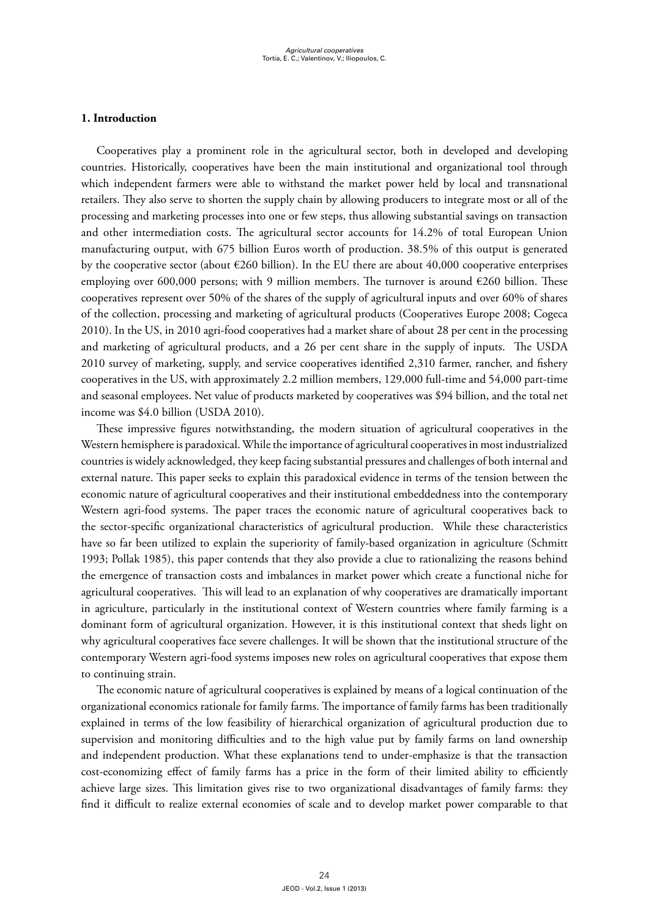# **1. Introduction**

Cooperatives play a prominent role in the agricultural sector, both in developed and developing countries. Historically, cooperatives have been the main institutional and organizational tool through which independent farmers were able to withstand the market power held by local and transnational retailers. They also serve to shorten the supply chain by allowing producers to integrate most or all of the processing and marketing processes into one or few steps, thus allowing substantial savings on transaction and other intermediation costs. The agricultural sector accounts for 14.2% of total European Union manufacturing output, with 675 billion Euros worth of production. 38.5% of this output is generated by the cooperative sector (about  $\epsilon$ 260 billion). In the EU there are about 40,000 cooperative enterprises employing over 600,000 persons; with 9 million members. The turnover is around  $\epsilon$ 260 billion. These cooperatives represent over 50% of the shares of the supply of agricultural inputs and over 60% of shares of the collection, processing and marketing of agricultural products (Cooperatives Europe 2008; Cogeca 2010). In the US, in 2010 agri-food cooperatives had a market share of about 28 per cent in the processing and marketing of agricultural products, and a 26 per cent share in the supply of inputs. The USDA 2010 survey of marketing, supply, and service cooperatives identified 2,310 farmer, rancher, and fishery cooperatives in the US, with approximately 2.2 million members, 129,000 full-time and 54,000 part-time and seasonal employees. Net value of products marketed by cooperatives was \$94 billion, and the total net income was \$4.0 billion (USDA 2010).

These impressive figures notwithstanding, the modern situation of agricultural cooperatives in the Western hemisphere is paradoxical. While the importance of agricultural cooperatives in most industrialized countries is widely acknowledged, they keep facing substantial pressures and challenges of both internal and external nature. This paper seeks to explain this paradoxical evidence in terms of the tension between the economic nature of agricultural cooperatives and their institutional embeddedness into the contemporary Western agri-food systems. The paper traces the economic nature of agricultural cooperatives back to the sector-specific organizational characteristics of agricultural production. While these characteristics have so far been utilized to explain the superiority of family-based organization in agriculture (Schmitt 1993; Pollak 1985), this paper contends that they also provide a clue to rationalizing the reasons behind the emergence of transaction costs and imbalances in market power which create a functional niche for agricultural cooperatives. This will lead to an explanation of why cooperatives are dramatically important in agriculture, particularly in the institutional context of Western countries where family farming is a dominant form of agricultural organization. However, it is this institutional context that sheds light on why agricultural cooperatives face severe challenges. It will be shown that the institutional structure of the contemporary Western agri-food systems imposes new roles on agricultural cooperatives that expose them to continuing strain.

The economic nature of agricultural cooperatives is explained by means of a logical continuation of the organizational economics rationale for family farms. The importance of family farms has been traditionally explained in terms of the low feasibility of hierarchical organization of agricultural production due to supervision and monitoring difficulties and to the high value put by family farms on land ownership and independent production. What these explanations tend to under-emphasize is that the transaction cost-economizing effect of family farms has a price in the form of their limited ability to efficiently achieve large sizes. This limitation gives rise to two organizational disadvantages of family farms: they find it difficult to realize external economies of scale and to develop market power comparable to that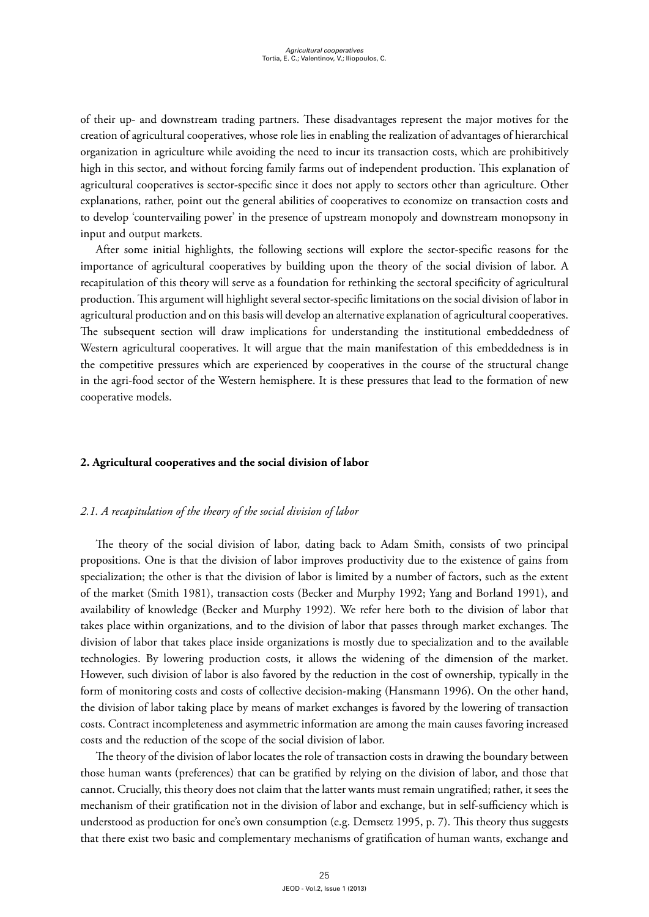of their up- and downstream trading partners. These disadvantages represent the major motives for the creation of agricultural cooperatives, whose role lies in enabling the realization of advantages of hierarchical organization in agriculture while avoiding the need to incur its transaction costs, which are prohibitively high in this sector, and without forcing family farms out of independent production. This explanation of agricultural cooperatives is sector-specific since it does not apply to sectors other than agriculture. Other explanations, rather, point out the general abilities of cooperatives to economize on transaction costs and to develop 'countervailing power' in the presence of upstream monopoly and downstream monopsony in input and output markets.

After some initial highlights, the following sections will explore the sector-specific reasons for the importance of agricultural cooperatives by building upon the theory of the social division of labor. A recapitulation of this theory will serve as a foundation for rethinking the sectoral specificity of agricultural production. This argument will highlight several sector-specific limitations on the social division of labor in agricultural production and on this basis will develop an alternative explanation of agricultural cooperatives. The subsequent section will draw implications for understanding the institutional embeddedness of Western agricultural cooperatives. It will argue that the main manifestation of this embeddedness is in the competitive pressures which are experienced by cooperatives in the course of the structural change in the agri-food sector of the Western hemisphere. It is these pressures that lead to the formation of new cooperative models.

# **2. Agricultural cooperatives and the social division of labor**

## *2.1. A recapitulation of the theory of the social division of labor*

The theory of the social division of labor, dating back to Adam Smith, consists of two principal propositions. One is that the division of labor improves productivity due to the existence of gains from specialization; the other is that the division of labor is limited by a number of factors, such as the extent of the market (Smith 1981), transaction costs (Becker and Murphy 1992; Yang and Borland 1991), and availability of knowledge (Becker and Murphy 1992). We refer here both to the division of labor that takes place within organizations, and to the division of labor that passes through market exchanges. The division of labor that takes place inside organizations is mostly due to specialization and to the available technologies. By lowering production costs, it allows the widening of the dimension of the market. However, such division of labor is also favored by the reduction in the cost of ownership, typically in the form of monitoring costs and costs of collective decision-making (Hansmann 1996). On the other hand, the division of labor taking place by means of market exchanges is favored by the lowering of transaction costs. Contract incompleteness and asymmetric information are among the main causes favoring increased costs and the reduction of the scope of the social division of labor.

The theory of the division of labor locates the role of transaction costs in drawing the boundary between those human wants (preferences) that can be gratified by relying on the division of labor, and those that cannot. Crucially, this theory does not claim that the latter wants must remain ungratified; rather, it sees the mechanism of their gratification not in the division of labor and exchange, but in self-sufficiency which is understood as production for one's own consumption (e.g. Demsetz 1995, p. 7). This theory thus suggests that there exist two basic and complementary mechanisms of gratification of human wants, exchange and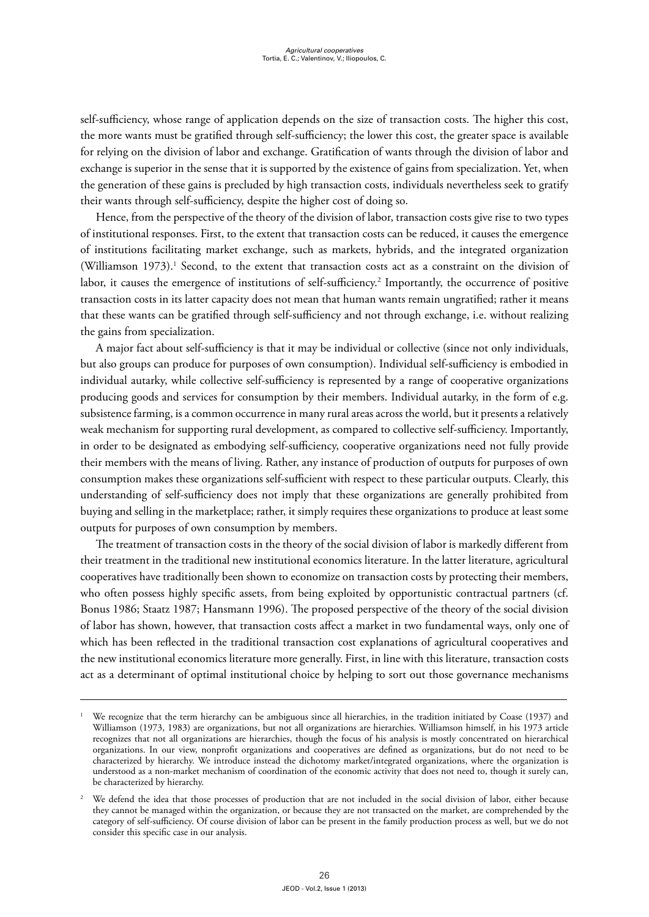self-sufficiency, whose range of application depends on the size of transaction costs. The higher this cost, the more wants must be gratified through self-sufficiency; the lower this cost, the greater space is available for relying on the division of labor and exchange. Gratification of wants through the division of labor and exchange is superior in the sense that it is supported by the existence of gains from specialization. Yet, when the generation of these gains is precluded by high transaction costs, individuals nevertheless seek to gratify their wants through self-sufficiency, despite the higher cost of doing so.

Hence, from the perspective of the theory of the division of labor, transaction costs give rise to two types of institutional responses. First, to the extent that transaction costs can be reduced, it causes the emergence of institutions facilitating market exchange, such as markets, hybrids, and the integrated organization (Williamson 1973).<sup>1</sup> Second, to the extent that transaction costs act as a constraint on the division of labor, it causes the emergence of institutions of self-sufficiency.2 Importantly, the occurrence of positive transaction costs in its latter capacity does not mean that human wants remain ungratified; rather it means that these wants can be gratified through self-sufficiency and not through exchange, i.e. without realizing the gains from specialization.

A major fact about self-sufficiency is that it may be individual or collective (since not only individuals, but also groups can produce for purposes of own consumption). Individual self-sufficiency is embodied in individual autarky, while collective self-sufficiency is represented by a range of cooperative organizations producing goods and services for consumption by their members. Individual autarky, in the form of e.g. subsistence farming, is a common occurrence in many rural areas across the world, but it presents a relatively weak mechanism for supporting rural development, as compared to collective self-sufficiency. Importantly, in order to be designated as embodying self-sufficiency, cooperative organizations need not fully provide their members with the means of living. Rather, any instance of production of outputs for purposes of own consumption makes these organizations self-sufficient with respect to these particular outputs. Clearly, this understanding of self-sufficiency does not imply that these organizations are generally prohibited from buying and selling in the marketplace; rather, it simply requires these organizations to produce at least some outputs for purposes of own consumption by members.

The treatment of transaction costs in the theory of the social division of labor is markedly different from their treatment in the traditional new institutional economics literature. In the latter literature, agricultural cooperatives have traditionally been shown to economize on transaction costs by protecting their members, who often possess highly specific assets, from being exploited by opportunistic contractual partners (cf. Bonus 1986; Staatz 1987; Hansmann 1996). The proposed perspective of the theory of the social division of labor has shown, however, that transaction costs affect a market in two fundamental ways, only one of which has been reflected in the traditional transaction cost explanations of agricultural cooperatives and the new institutional economics literature more generally. First, in line with this literature, transaction costs act as a determinant of optimal institutional choice by helping to sort out those governance mechanisms

<sup>1</sup> We recognize that the term hierarchy can be ambiguous since all hierarchies, in the tradition initiated by Coase (1937) and Williamson (1973, 1983) are organizations, but not all organizations are hierarchies. Williamson himself, in his 1973 article recognizes that not all organizations are hierarchies, though the focus of his analysis is mostly concentrated on hierarchical organizations. In our view, nonprofit organizations and cooperatives are defined as organizations, but do not need to be characterized by hierarchy. We introduce instead the dichotomy market/integrated organizations, where the organization is understood as a non-market mechanism of coordination of the economic activity that does not need to, though it surely can, be characterized by hierarchy.

<sup>2</sup> We defend the idea that those processes of production that are not included in the social division of labor, either because they cannot be managed within the organization, or because they are not transacted on the market, are comprehended by the category of self-sufficiency. Of course division of labor can be present in the family production process as well, but we do not consider this specific case in our analysis.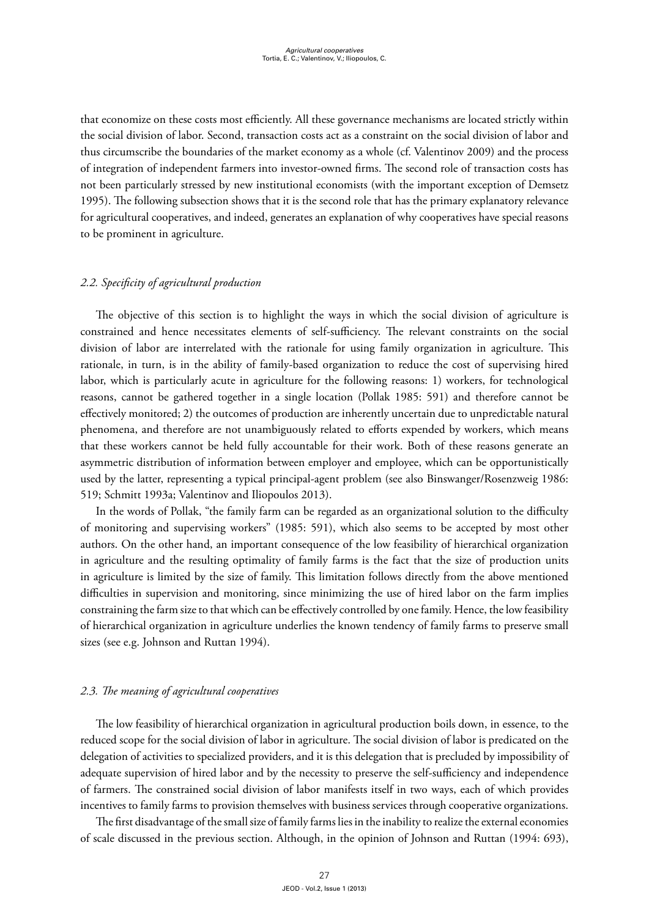that economize on these costs most efficiently. All these governance mechanisms are located strictly within the social division of labor. Second, transaction costs act as a constraint on the social division of labor and thus circumscribe the boundaries of the market economy as a whole (cf. Valentinov 2009) and the process of integration of independent farmers into investor-owned firms. The second role of transaction costs has not been particularly stressed by new institutional economists (with the important exception of Demsetz 1995). The following subsection shows that it is the second role that has the primary explanatory relevance for agricultural cooperatives, and indeed, generates an explanation of why cooperatives have special reasons to be prominent in agriculture.

# *2.2. Specificity of agricultural production*

The objective of this section is to highlight the ways in which the social division of agriculture is constrained and hence necessitates elements of self-sufficiency. The relevant constraints on the social division of labor are interrelated with the rationale for using family organization in agriculture. This rationale, in turn, is in the ability of family-based organization to reduce the cost of supervising hired labor, which is particularly acute in agriculture for the following reasons: 1) workers, for technological reasons, cannot be gathered together in a single location (Pollak 1985: 591) and therefore cannot be effectively monitored; 2) the outcomes of production are inherently uncertain due to unpredictable natural phenomena, and therefore are not unambiguously related to efforts expended by workers, which means that these workers cannot be held fully accountable for their work. Both of these reasons generate an asymmetric distribution of information between employer and employee, which can be opportunistically used by the latter, representing a typical principal-agent problem (see also Binswanger/Rosenzweig 1986: 519; Schmitt 1993a; Valentinov and Iliopoulos 2013).

In the words of Pollak, "the family farm can be regarded as an organizational solution to the difficulty of monitoring and supervising workers" (1985: 591), which also seems to be accepted by most other authors. On the other hand, an important consequence of the low feasibility of hierarchical organization in agriculture and the resulting optimality of family farms is the fact that the size of production units in agriculture is limited by the size of family. This limitation follows directly from the above mentioned difficulties in supervision and monitoring, since minimizing the use of hired labor on the farm implies constraining the farm size to that which can be effectively controlled by one family. Hence, the low feasibility of hierarchical organization in agriculture underlies the known tendency of family farms to preserve small sizes (see e.g. Johnson and Ruttan 1994).

## *2.3. The meaning of agricultural cooperatives*

The low feasibility of hierarchical organization in agricultural production boils down, in essence, to the reduced scope for the social division of labor in agriculture. The social division of labor is predicated on the delegation of activities to specialized providers, and it is this delegation that is precluded by impossibility of adequate supervision of hired labor and by the necessity to preserve the self-sufficiency and independence of farmers. The constrained social division of labor manifests itself in two ways, each of which provides incentives to family farms to provision themselves with business services through cooperative organizations.

The first disadvantage of the small size of family farms lies in the inability to realize the external economies of scale discussed in the previous section. Although, in the opinion of Johnson and Ruttan (1994: 693),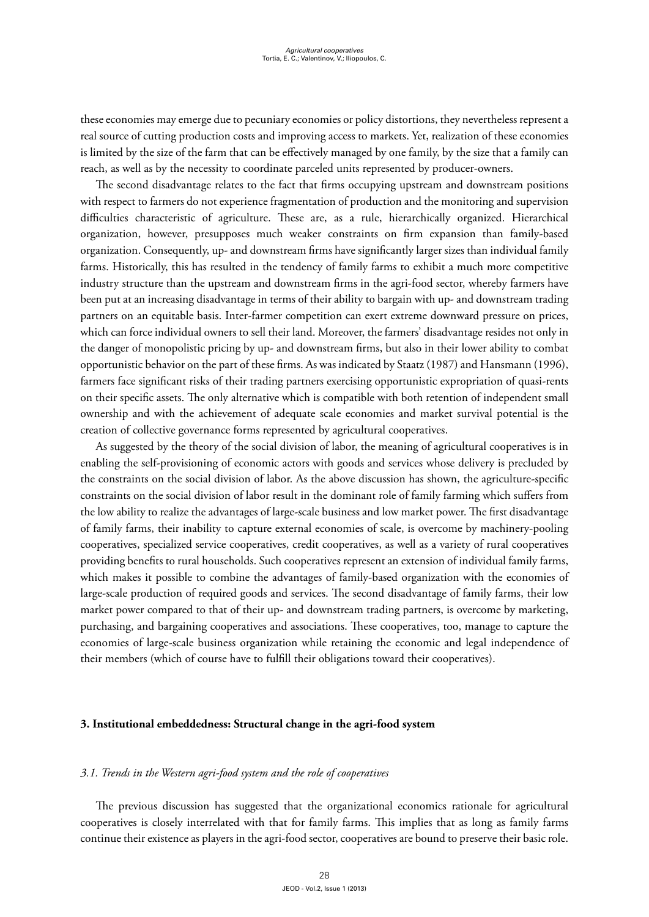these economies may emerge due to pecuniary economies or policy distortions, they nevertheless represent a real source of cutting production costs and improving access to markets. Yet, realization of these economies is limited by the size of the farm that can be effectively managed by one family, by the size that a family can reach, as well as by the necessity to coordinate parceled units represented by producer-owners.

The second disadvantage relates to the fact that firms occupying upstream and downstream positions with respect to farmers do not experience fragmentation of production and the monitoring and supervision difficulties characteristic of agriculture. These are, as a rule, hierarchically organized. Hierarchical organization, however, presupposes much weaker constraints on firm expansion than family-based organization. Consequently, up- and downstream firms have significantly larger sizes than individual family farms. Historically, this has resulted in the tendency of family farms to exhibit a much more competitive industry structure than the upstream and downstream firms in the agri-food sector, whereby farmers have been put at an increasing disadvantage in terms of their ability to bargain with up- and downstream trading partners on an equitable basis. Inter-farmer competition can exert extreme downward pressure on prices, which can force individual owners to sell their land. Moreover, the farmers' disadvantage resides not only in the danger of monopolistic pricing by up- and downstream firms, but also in their lower ability to combat opportunistic behavior on the part of these firms. As was indicated by Staatz (1987) and Hansmann (1996), farmers face significant risks of their trading partners exercising opportunistic expropriation of quasi-rents on their specific assets. The only alternative which is compatible with both retention of independent small ownership and with the achievement of adequate scale economies and market survival potential is the creation of collective governance forms represented by agricultural cooperatives.

As suggested by the theory of the social division of labor, the meaning of agricultural cooperatives is in enabling the self-provisioning of economic actors with goods and services whose delivery is precluded by the constraints on the social division of labor. As the above discussion has shown, the agriculture-specific constraints on the social division of labor result in the dominant role of family farming which suffers from the low ability to realize the advantages of large-scale business and low market power. The first disadvantage of family farms, their inability to capture external economies of scale, is overcome by machinery-pooling cooperatives, specialized service cooperatives, credit cooperatives, as well as a variety of rural cooperatives providing benefits to rural households. Such cooperatives represent an extension of individual family farms, which makes it possible to combine the advantages of family-based organization with the economies of large-scale production of required goods and services. The second disadvantage of family farms, their low market power compared to that of their up- and downstream trading partners, is overcome by marketing, purchasing, and bargaining cooperatives and associations. These cooperatives, too, manage to capture the economies of large-scale business organization while retaining the economic and legal independence of their members (which of course have to fulfill their obligations toward their cooperatives).

#### **3. Institutional embeddedness: Structural change in the agri-food system**

## *3.1. Trends in the Western agri-food system and the role of cooperatives*

The previous discussion has suggested that the organizational economics rationale for agricultural cooperatives is closely interrelated with that for family farms. This implies that as long as family farms continue their existence as players in the agri-food sector, cooperatives are bound to preserve their basic role.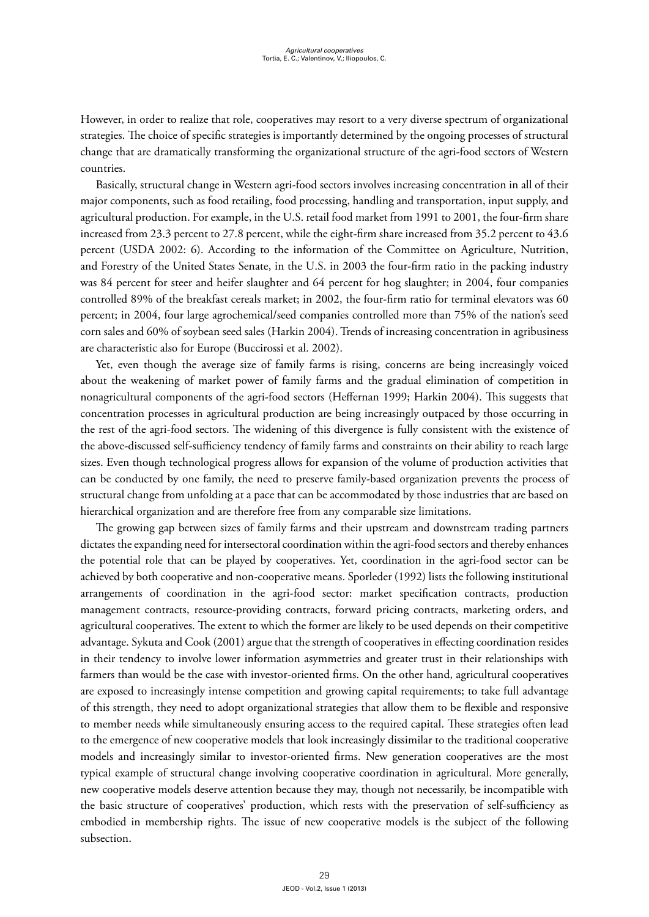However, in order to realize that role, cooperatives may resort to a very diverse spectrum of organizational strategies. The choice of specific strategies is importantly determined by the ongoing processes of structural change that are dramatically transforming the organizational structure of the agri-food sectors of Western countries.

Basically, structural change in Western agri-food sectors involves increasing concentration in all of their major components, such as food retailing, food processing, handling and transportation, input supply, and agricultural production. For example, in the U.S. retail food market from 1991 to 2001, the four-firm share increased from 23.3 percent to 27.8 percent, while the eight-firm share increased from 35.2 percent to 43.6 percent (USDA 2002: 6). According to the information of the Committee on Agriculture, Nutrition, and Forestry of the United States Senate, in the U.S. in 2003 the four-firm ratio in the packing industry was 84 percent for steer and heifer slaughter and 64 percent for hog slaughter; in 2004, four companies controlled 89% of the breakfast cereals market; in 2002, the four-firm ratio for terminal elevators was 60 percent; in 2004, four large agrochemical/seed companies controlled more than 75% of the nation's seed corn sales and 60% of soybean seed sales (Harkin 2004). Trends of increasing concentration in agribusiness are characteristic also for Europe (Buccirossi et al. 2002).

Yet, even though the average size of family farms is rising, concerns are being increasingly voiced about the weakening of market power of family farms and the gradual elimination of competition in nonagricultural components of the agri-food sectors (Heffernan 1999; Harkin 2004). This suggests that concentration processes in agricultural production are being increasingly outpaced by those occurring in the rest of the agri-food sectors. The widening of this divergence is fully consistent with the existence of the above-discussed self-sufficiency tendency of family farms and constraints on their ability to reach large sizes. Even though technological progress allows for expansion of the volume of production activities that can be conducted by one family, the need to preserve family-based organization prevents the process of structural change from unfolding at a pace that can be accommodated by those industries that are based on hierarchical organization and are therefore free from any comparable size limitations.

The growing gap between sizes of family farms and their upstream and downstream trading partners dictates the expanding need for intersectoral coordination within the agri-food sectors and thereby enhances the potential role that can be played by cooperatives. Yet, coordination in the agri-food sector can be achieved by both cooperative and non-cooperative means. Sporleder (1992) lists the following institutional arrangements of coordination in the agri-food sector: market specification contracts, production management contracts, resource-providing contracts, forward pricing contracts, marketing orders, and agricultural cooperatives. The extent to which the former are likely to be used depends on their competitive advantage. Sykuta and Cook (2001) argue that the strength of cooperatives in effecting coordination resides in their tendency to involve lower information asymmetries and greater trust in their relationships with farmers than would be the case with investor-oriented firms. On the other hand, agricultural cooperatives are exposed to increasingly intense competition and growing capital requirements; to take full advantage of this strength, they need to adopt organizational strategies that allow them to be flexible and responsive to member needs while simultaneously ensuring access to the required capital. These strategies often lead to the emergence of new cooperative models that look increasingly dissimilar to the traditional cooperative models and increasingly similar to investor-oriented firms. New generation cooperatives are the most typical example of structural change involving cooperative coordination in agricultural. More generally, new cooperative models deserve attention because they may, though not necessarily, be incompatible with the basic structure of cooperatives' production, which rests with the preservation of self-sufficiency as embodied in membership rights. The issue of new cooperative models is the subject of the following subsection.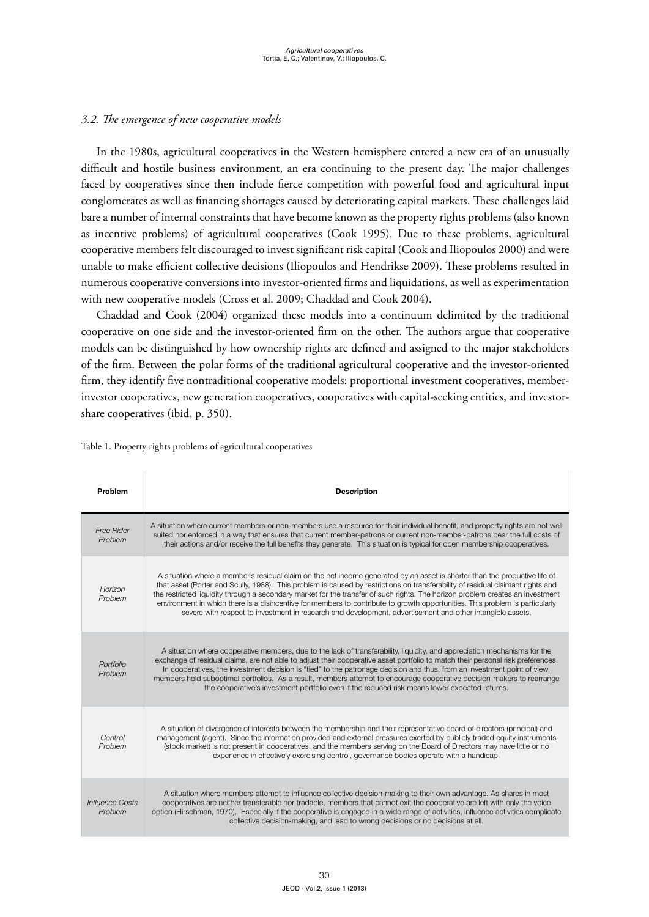# *3.2. The emergence of new cooperative models*

In the 1980s, agricultural cooperatives in the Western hemisphere entered a new era of an unusually difficult and hostile business environment, an era continuing to the present day. The major challenges faced by cooperatives since then include fierce competition with powerful food and agricultural input conglomerates as well as financing shortages caused by deteriorating capital markets. These challenges laid bare a number of internal constraints that have become known as the property rights problems (also known as incentive problems) of agricultural cooperatives (Cook 1995). Due to these problems, agricultural cooperative members felt discouraged to invest significant risk capital (Cook and Iliopoulos 2000) and were unable to make efficient collective decisions (Iliopoulos and Hendrikse 2009). These problems resulted in numerous cooperative conversions into investor-oriented firms and liquidations, as well as experimentation with new cooperative models (Cross et al. 2009; Chaddad and Cook 2004).

Chaddad and Cook (2004) organized these models into a continuum delimited by the traditional cooperative on one side and the investor-oriented firm on the other. The authors argue that cooperative models can be distinguished by how ownership rights are defined and assigned to the major stakeholders of the firm. Between the polar forms of the traditional agricultural cooperative and the investor-oriented firm, they identify five nontraditional cooperative models: proportional investment cooperatives, memberinvestor cooperatives, new generation cooperatives, cooperatives with capital-seeking entities, and investorshare cooperatives (ibid, p. 350).

| Problem                    | <b>Description</b>                                                                                                                                                                                                                                                                                                                                                                                                                                                                                                                                                                                                                           |
|----------------------------|----------------------------------------------------------------------------------------------------------------------------------------------------------------------------------------------------------------------------------------------------------------------------------------------------------------------------------------------------------------------------------------------------------------------------------------------------------------------------------------------------------------------------------------------------------------------------------------------------------------------------------------------|
| Free Rider<br>Problem      | A situation where current members or non-members use a resource for their individual benefit, and property rights are not well<br>suited nor enforced in a way that ensures that current member-patrons or current non-member-patrons bear the full costs of<br>their actions and/or receive the full benefits they generate. This situation is typical for open membership cooperatives.                                                                                                                                                                                                                                                    |
| Horizon<br>Problem         | A situation where a member's residual claim on the net income generated by an asset is shorter than the productive life of<br>that asset (Porter and Scully, 1988). This problem is caused by restrictions on transferability of residual claimant rights and<br>the restricted liquidity through a secondary market for the transfer of such rights. The horizon problem creates an investment<br>environment in which there is a disincentive for members to contribute to growth opportunities. This problem is particularly<br>severe with respect to investment in research and development, advertisement and other intangible assets. |
| Portfolio<br>Problem       | A situation where cooperative members, due to the lack of transferability, liquidity, and appreciation mechanisms for the<br>exchange of residual claims, are not able to adjust their cooperative asset portfolio to match their personal risk preferences.<br>In cooperatives, the investment decision is "tied" to the patronage decision and thus, from an investment point of view,<br>members hold suboptimal portfolios. As a result, members attempt to encourage cooperative decision-makers to rearrange<br>the cooperative's investment portfolio even if the reduced risk means lower expected returns.                          |
| Control<br>Problem         | A situation of divergence of interests between the membership and their representative board of directors (principal) and<br>management (agent). Since the information provided and external pressures exerted by publicly traded equity instruments<br>(stock market) is not present in cooperatives, and the members serving on the Board of Directors may have little or no<br>experience in effectively exercising control, governance bodies operate with a handicap.                                                                                                                                                                   |
| Influence Costs<br>Problem | A situation where members attempt to influence collective decision-making to their own advantage. As shares in most<br>cooperatives are neither transferable nor tradable, members that cannot exit the cooperative are left with only the voice<br>option (Hirschman, 1970). Especially if the cooperative is engaged in a wide range of activities, influence activities complicate<br>collective decision-making, and lead to wrong decisions or no decisions at all.                                                                                                                                                                     |

Table 1. Property rights problems of agricultural cooperatives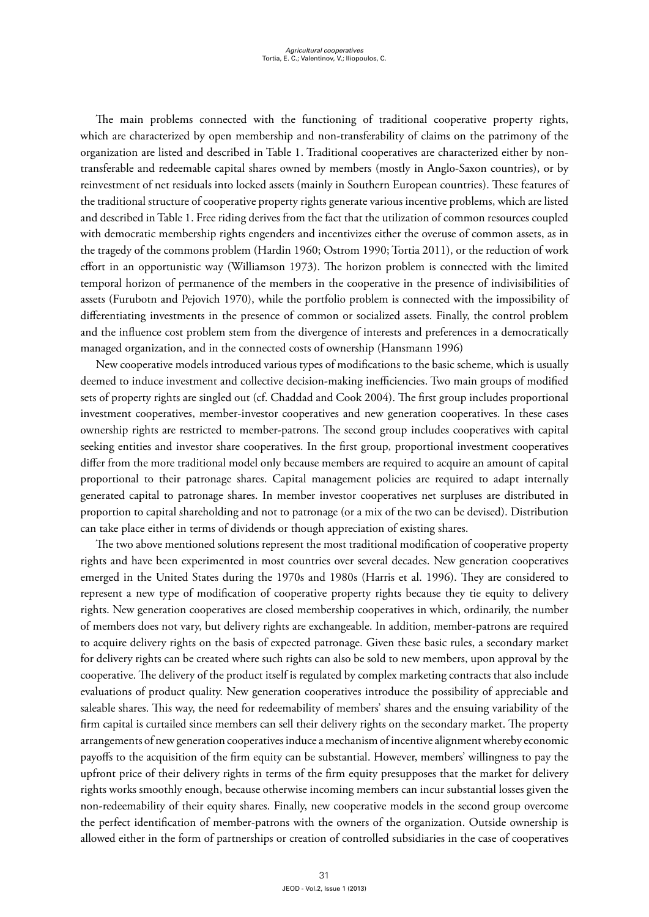The main problems connected with the functioning of traditional cooperative property rights, which are characterized by open membership and non-transferability of claims on the patrimony of the organization are listed and described in Table 1. Traditional cooperatives are characterized either by nontransferable and redeemable capital shares owned by members (mostly in Anglo-Saxon countries), or by reinvestment of net residuals into locked assets (mainly in Southern European countries). These features of the traditional structure of cooperative property rights generate various incentive problems, which are listed and described in Table 1. Free riding derives from the fact that the utilization of common resources coupled with democratic membership rights engenders and incentivizes either the overuse of common assets, as in the tragedy of the commons problem (Hardin 1960; Ostrom 1990; Tortia 2011), or the reduction of work effort in an opportunistic way (Williamson 1973). The horizon problem is connected with the limited temporal horizon of permanence of the members in the cooperative in the presence of indivisibilities of assets (Furubotn and Pejovich 1970), while the portfolio problem is connected with the impossibility of differentiating investments in the presence of common or socialized assets. Finally, the control problem and the influence cost problem stem from the divergence of interests and preferences in a democratically managed organization, and in the connected costs of ownership (Hansmann 1996)

New cooperative models introduced various types of modifications to the basic scheme, which is usually deemed to induce investment and collective decision-making inefficiencies. Two main groups of modified sets of property rights are singled out (cf. Chaddad and Cook 2004). The first group includes proportional investment cooperatives, member-investor cooperatives and new generation cooperatives. In these cases ownership rights are restricted to member-patrons. The second group includes cooperatives with capital seeking entities and investor share cooperatives. In the first group, proportional investment cooperatives differ from the more traditional model only because members are required to acquire an amount of capital proportional to their patronage shares. Capital management policies are required to adapt internally generated capital to patronage shares. In member investor cooperatives net surpluses are distributed in proportion to capital shareholding and not to patronage (or a mix of the two can be devised). Distribution can take place either in terms of dividends or though appreciation of existing shares.

The two above mentioned solutions represent the most traditional modification of cooperative property rights and have been experimented in most countries over several decades. New generation cooperatives emerged in the United States during the 1970s and 1980s (Harris et al. 1996). They are considered to represent a new type of modification of cooperative property rights because they tie equity to delivery rights. New generation cooperatives are closed membership cooperatives in which, ordinarily, the number of members does not vary, but delivery rights are exchangeable. In addition, member-patrons are required to acquire delivery rights on the basis of expected patronage. Given these basic rules, a secondary market for delivery rights can be created where such rights can also be sold to new members, upon approval by the cooperative. The delivery of the product itself is regulated by complex marketing contracts that also include evaluations of product quality. New generation cooperatives introduce the possibility of appreciable and saleable shares. This way, the need for redeemability of members' shares and the ensuing variability of the firm capital is curtailed since members can sell their delivery rights on the secondary market. The property arrangements of new generation cooperatives induce a mechanism of incentive alignment whereby economic payoffs to the acquisition of the firm equity can be substantial. However, members' willingness to pay the upfront price of their delivery rights in terms of the firm equity presupposes that the market for delivery rights works smoothly enough, because otherwise incoming members can incur substantial losses given the non-redeemability of their equity shares. Finally, new cooperative models in the second group overcome the perfect identification of member-patrons with the owners of the organization. Outside ownership is allowed either in the form of partnerships or creation of controlled subsidiaries in the case of cooperatives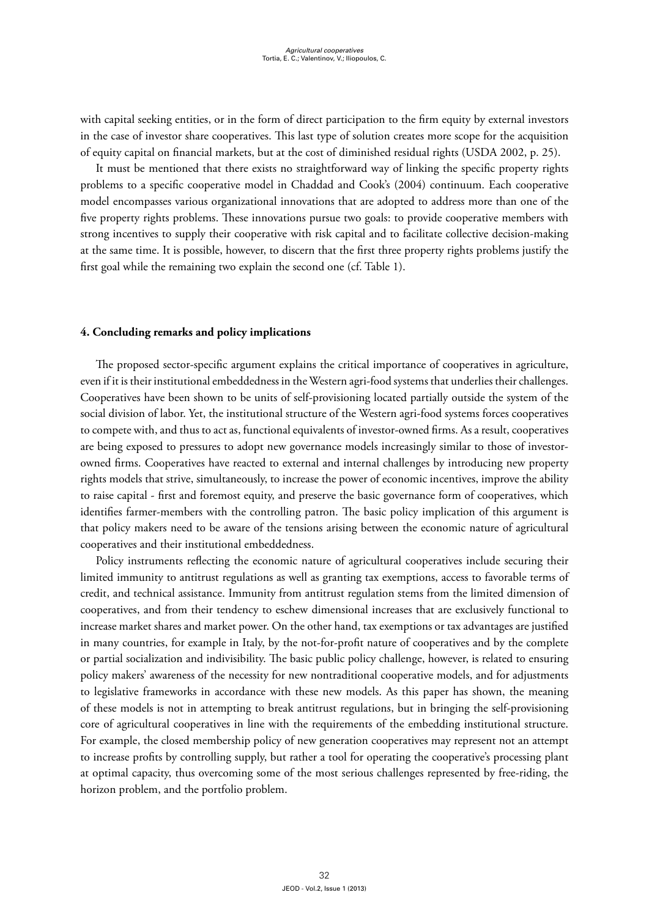with capital seeking entities, or in the form of direct participation to the firm equity by external investors in the case of investor share cooperatives. This last type of solution creates more scope for the acquisition of equity capital on financial markets, but at the cost of diminished residual rights (USDA 2002, p. 25).

It must be mentioned that there exists no straightforward way of linking the specific property rights problems to a specific cooperative model in Chaddad and Cook's (2004) continuum. Each cooperative model encompasses various organizational innovations that are adopted to address more than one of the five property rights problems. These innovations pursue two goals: to provide cooperative members with strong incentives to supply their cooperative with risk capital and to facilitate collective decision-making at the same time. It is possible, however, to discern that the first three property rights problems justify the first goal while the remaining two explain the second one (cf. Table 1).

#### **4. Concluding remarks and policy implications**

The proposed sector-specific argument explains the critical importance of cooperatives in agriculture, even if it is their institutional embeddedness in the Western agri-food systems that underlies their challenges. Cooperatives have been shown to be units of self-provisioning located partially outside the system of the social division of labor. Yet, the institutional structure of the Western agri-food systems forces cooperatives to compete with, and thus to act as, functional equivalents of investor-owned firms. As a result, cooperatives are being exposed to pressures to adopt new governance models increasingly similar to those of investorowned firms. Cooperatives have reacted to external and internal challenges by introducing new property rights models that strive, simultaneously, to increase the power of economic incentives, improve the ability to raise capital - first and foremost equity, and preserve the basic governance form of cooperatives, which identifies farmer-members with the controlling patron. The basic policy implication of this argument is that policy makers need to be aware of the tensions arising between the economic nature of agricultural cooperatives and their institutional embeddedness.

Policy instruments reflecting the economic nature of agricultural cooperatives include securing their limited immunity to antitrust regulations as well as granting tax exemptions, access to favorable terms of credit, and technical assistance. Immunity from antitrust regulation stems from the limited dimension of cooperatives, and from their tendency to eschew dimensional increases that are exclusively functional to increase market shares and market power. On the other hand, tax exemptions or tax advantages are justified in many countries, for example in Italy, by the not-for-profit nature of cooperatives and by the complete or partial socialization and indivisibility. The basic public policy challenge, however, is related to ensuring policy makers' awareness of the necessity for new nontraditional cooperative models, and for adjustments to legislative frameworks in accordance with these new models. As this paper has shown, the meaning of these models is not in attempting to break antitrust regulations, but in bringing the self-provisioning core of agricultural cooperatives in line with the requirements of the embedding institutional structure. For example, the closed membership policy of new generation cooperatives may represent not an attempt to increase profits by controlling supply, but rather a tool for operating the cooperative's processing plant at optimal capacity, thus overcoming some of the most serious challenges represented by free-riding, the horizon problem, and the portfolio problem.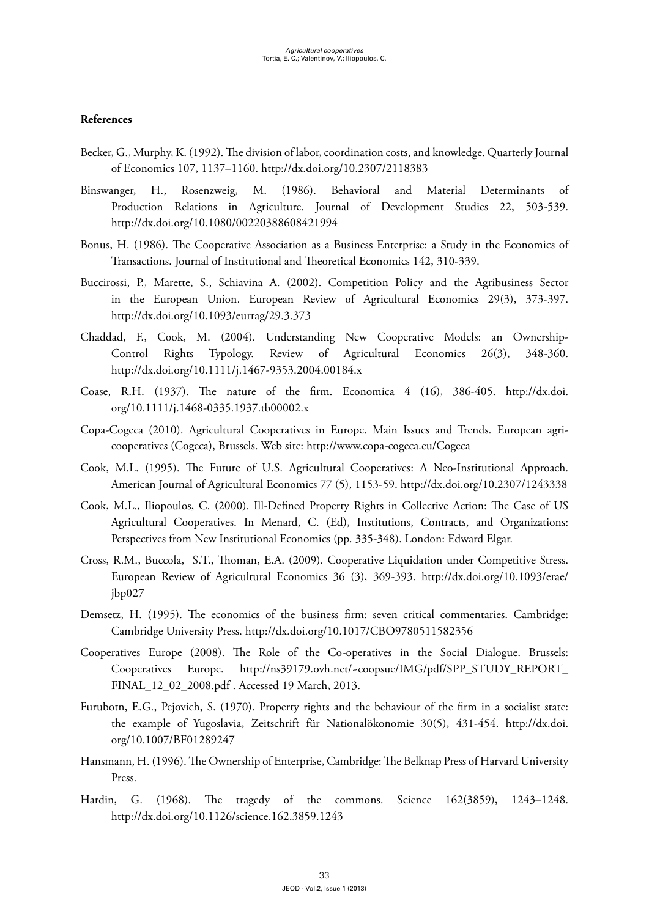# **References**

- Becker, G., Murphy, K. (1992). The division of labor, coordination costs, and knowledge. Quarterly Journal of Economics 107, 1137–1160. <http://dx.doi.org/10.2307/2118383>
- Binswanger, H., Rosenzweig, M. (1986). Behavioral and Material Determinants of Production Relations in Agriculture. Journal of Development Studies 22, 503-539. [http://dx.doi.org/10.1080/00220388608421994](http://dx.doi.org/10.1080%2F00220388608421994)
- Bonus, H. (1986). The Cooperative Association as a Business Enterprise: a Study in the Economics of Transactions. Journal of Institutional and Theoretical Economics 142, 310-339.
- Buccirossi, P., Marette, S., Schiavina A. (2002). Competition Policy and the Agribusiness Sector in the European Union. European Review of Agricultural Economics 29(3), 373-397. [http://dx.doi.org/10.1093/eurrag/29.3.373](http://dx.doi.org/10.1093%2Feurrag%2F29.3.373)
- Chaddad, F., Cook, M. (2004). Understanding New Cooperative Models: an Ownership-Control Rights Typology. Review of Agricultural Economics 26(3), 348-360. [http://dx.doi.org/10.1111/j.1467-9353.2004.00184.x](http://dx.doi.org/10.1111%2Fj.1467-9353.2004.00184.x)
- Coase, R.H. (1937). The nature of the firm. Economica 4 (16), 386-405. [http://dx.doi.](http://dx.doi.org/10.1111%2Fj.1468-0335.1937.tb00002.x) [org/10.1111/j.1468-0335.1937.tb00002.x](http://dx.doi.org/10.1111%2Fj.1468-0335.1937.tb00002.x)
- Copa-Cogeca (2010). Agricultural Cooperatives in Europe. Main Issues and Trends. European agricooperatives (Cogeca), Brussels. Web site:<http://www.copa-cogeca.eu/Cogeca>
- Cook, M.L. (1995). The Future of U.S. Agricultural Cooperatives: A Neo-Institutional Approach. American Journal of Agricultural Economics 77 (5), 1153-59. [http://dx.doi.org/10.2307/1243338](http://dx.doi.org/10.2307%2F1243338)
- Cook, M.L., Iliopoulos, C. (2000). Ill-Defined Property Rights in Collective Action: The Case of US Agricultural Cooperatives. In Menard, C. (Ed), Institutions, Contracts, and Organizations: Perspectives from New Institutional Economics (pp. 335-348). London: Edward Elgar.
- Cross, R.M., Buccola, S.T., Thoman, E.A. (2009). Cooperative Liquidation under Competitive Stress. [European Review of Agricultural Economics](http://erae.oxfordjournals.org/) 36 (3), 369-393. [http://dx.doi.org/10.1093/erae/](http://dx.doi.org/10.1093%2Ferae%2Fjbp027) [jbp027](http://dx.doi.org/10.1093%2Ferae%2Fjbp027)
- Demsetz, H. (1995). The economics of the business firm: seven critical commentaries. Cambridge: Cambridge University Press.<http://dx.doi.org/10.1017/CBO9780511582356>
- Cooperatives Europe (2008). The Role of the Co-operatives in the Social Dialogue. Brussels: Cooperatives Europe. [http://ns39179.ovh.net/~coopsue/IMG/pdf/SPP\\_STUDY\\_REPORT\\_](http://ns39179.ovh.net/~coopsue/IMG/pdf/SPP_STUDY_REPORT_FINAL_12_02_2008.pdf) [FINAL\\_12\\_02\\_2008.pdf](http://ns39179.ovh.net/~coopsue/IMG/pdf/SPP_STUDY_REPORT_FINAL_12_02_2008.pdf) . Accessed 19 March, 2013.
- Furubotn, E.G., Pejovich, S. (1970). Property rights and the behaviour of the firm in a socialist state: the example of Yugoslavia, Zeitschrift für Nationalökonomie 30(5), 431-454. [http://dx.doi.](http://dx.doi.org/10.1007%2FBF01289247) [org/10.1007/BF01289247](http://dx.doi.org/10.1007%2FBF01289247)
- Hansmann, H. (1996). The Ownership of Enterprise, Cambridge: The Belknap Press of Harvard University Press.
- Hardin, G. (1968). The tragedy of the commons. Science 162(3859), 1243–1248. <http://dx.doi.org/10.1126/science.162.3859.1243>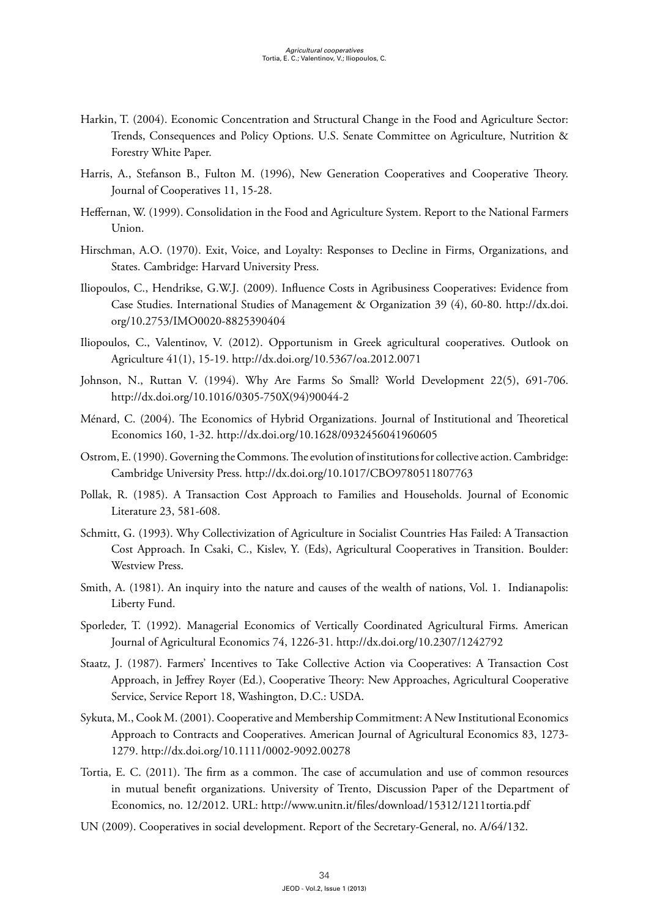- Harkin, T. (2004). Economic Concentration and Structural Change in the Food and Agriculture Sector: Trends, Consequences and Policy Options. U.S. Senate Committee on Agriculture, Nutrition & Forestry White Paper.
- Harris, A., Stefanson B., Fulton M. (1996), New Generation Cooperatives and Cooperative Theory. Journal of Cooperatives 11, 15-28.
- Heffernan, W. (1999). Consolidation in the Food and Agriculture System. Report to the National Farmers Union.
- Hirschman, A.O. (1970). Exit, Voice, and Loyalty: Responses to Decline in Firms, Organizations, and States. Cambridge: Harvard University Press.
- Iliopoulos, C., Hendrikse, G.W.J. (2009). Influence Costs in Agribusiness Cooperatives: Evidence from Case Studies. International Studies of Management & Organization 39 (4), 60-80. [http://dx.doi.](http://dx.doi.org/10.2753%2FIMO0020-8825390404) [org/10.2753/IMO0020-8825390404](http://dx.doi.org/10.2753%2FIMO0020-8825390404)
- Iliopoulos, C., Valentinov, V. (2012). Opportunism in Greek agricultural cooperatives. Outlook on Agriculture 41(1), 15-19. <http://dx.doi.org/10.5367/oa.2012.0071>
- Johnson, N., Ruttan V. (1994). Why Are Farms So Small? World Development 22(5), 691-706. [http://dx.doi.org/10.1016/0305-750X\(94\)90044-2](http://dx.doi.org/10.1016%2F0305-750X(94)90044-2)
- Ménard, C. (2004). The Economics of Hybrid Organizations. Journal of Institutional and Theoretical Economics 160, 1-32. [http://dx.doi.org/10.1628/0932456041960605](http://dx.doi.org/10.1628%2F0932456041960605)
- Ostrom, E. (1990). Governing the Commons. The evolution of institutions for collective action. Cambridge: Cambridge University Press. [http://dx.doi.org/10.1017/CBO9780511807763](http://dx.doi.org/10.1017%2FCBO9780511807763)
- Pollak, R. (1985). A Transaction Cost Approach to Families and Households. Journal of Economic Literature 23, 581-608.
- Schmitt, G. (1993). Why Collectivization of Agriculture in Socialist Countries Has Failed: A Transaction Cost Approach. In Csaki, C., Kislev, Y. (Eds), Agricultural Cooperatives in Transition. Boulder: Westview Press.
- Smith, A. (1981). [An](http://haweb1.bibliothek.uni-halle.de:2102/?\zoe+tit+An) [inquiry](http://haweb1.bibliothek.uni-halle.de:2102/?\zoe+tit+inquiry) [into](http://haweb1.bibliothek.uni-halle.de:2102/?\zoe+tit+into) [the](http://haweb1.bibliothek.uni-halle.de:2102/?\zoe+tit+the) [nature](http://haweb1.bibliothek.uni-halle.de:2102/?\zoe+tit+nature) [and](http://haweb1.bibliothek.uni-halle.de:2102/?\zoe+tit+and) [causes](http://haweb1.bibliothek.uni-halle.de:2102/?\zoe+tit+causes) [of](http://haweb1.bibliothek.uni-halle.de:2102/?\zoe+tit+of) [the](http://haweb1.bibliothek.uni-halle.de:2102/?\zoe+tit+the) [wealth](http://haweb1.bibliothek.uni-halle.de:2102/?\zoe+tit+wealth) [of](http://haweb1.bibliothek.uni-halle.de:2102/?\zoe+tit+of) [nations,](http://haweb1.bibliothek.uni-halle.de:2102/?\zoe+tit+nations) Vol. 1. Indianapolis: Liberty Fund.
- Sporleder, T. (1992). Managerial Economics of Vertically Coordinated Agricultural Firms. American Journal of Agricultural Economics 74, 1226-31. <http://dx.doi.org/10.2307/1242792>
- Staatz, J. (1987). [Farmers' Incentives to Take Collective Action via Cooperatives: A Transaction Cost](http://www.rurdev.usda.gov/rbs/pub/sr18/incentve.pdf)  [Approach](http://www.rurdev.usda.gov/rbs/pub/sr18/incentve.pdf), in Jeffrey Royer (Ed.), Cooperative Theory: New Approaches, Agricultural Cooperative Service, Service Report 18, Washington, D.C.: USDA.
- Sykuta, M., Cook M. (2001). Cooperative and Membership Commitment: A New Institutional Economics Approach to Contracts and Cooperatives. American Journal of Agricultural Economics 83, 1273- 1279. [http://dx.doi.org/10.1111/0002-9092.00278](http://dx.doi.org/10.1111%2F0002-9092.00278)
- Tortia, E. C. (2011). The firm as a common. The case of accumulation and use of common resources in mutual benefit organizations. University of Trento, Discussion Paper of the Department of Economics, no. 12/2012. URL: <http://www.unitn.it/files/download/15312/1211tortia.pdf>
- UN (2009). Cooperatives in social development. Report of the Secretary-General, no. A/64/132.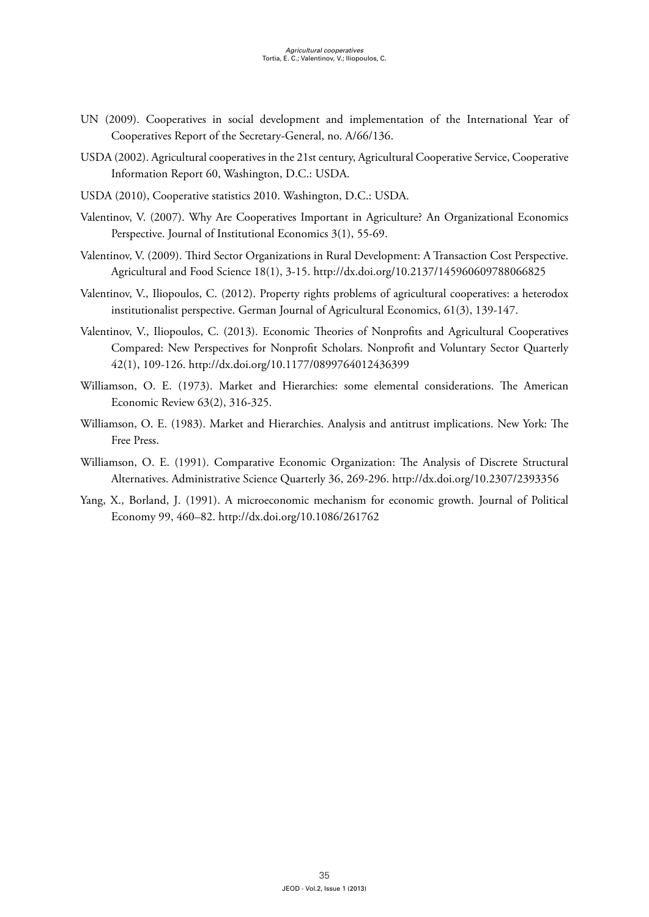- UN (2009). Cooperatives in social development and implementation of the International Year of Cooperatives Report of the Secretary-General, no. A/66/136.
- USDA (2002). Agricultural cooperatives in the 21st century, Agricultural Cooperative Service, Cooperative Information Report 60, Washington, D.C.: USDA.
- USDA (2010), Cooperative statistics 2010. Washington, D.C.: USDA.
- Valentinov, V. (2007). Why Are Cooperatives Important in Agriculture? An Organizational Economics Perspective. Journal of Institutional Economics 3(1), 55-69.
- Valentinov, V. (2009). Third Sector Organizations in Rural Development: A Transaction Cost Perspective. Agricultural and Food Science 18(1), 3-15. [http://dx.doi.org/10.2137/145960609788066825](http://dx.doi.org/10.2137%2F145960609788066825)
- Valentinov, V., Iliopoulos, C. (2012). Property rights problems of agricultural cooperatives: a heterodox institutionalist perspective. German Journal of Agricultural Economics, 61(3), 139-147.
- Valentinov, V., Iliopoulos, C. (2013). Economic Theories of Nonprofits and Agricultural Cooperatives Compared: New Perspectives for Nonprofit Scholars. Nonprofit and Voluntary Sector Quarterly 42(1), 109-126. [http://dx.doi.org/10.1177/0899764012436399](http://dx.doi.org/10.1177/0899764012436399 )
- Williamson, O. E. (1973). Market and Hierarchies: some elemental considerations. The American Economic Review 63(2), 316-325.
- Williamson, O. E. (1983). Market and Hierarchies. Analysis and antitrust implications. New York: The Free Press.
- Williamson, O. E. (1991). Comparative Economic Organization: The Analysis of Discrete Structural Alternatives. Administrative Science Quarterly 36, 269-296. [http://dx.doi.org/10.2307/2393356](http://dx.doi.org/10.2307%2F2393356)
- Yang, X., Borland, J. (1991). A microeconomic mechanism for economic growth. Journal of Political Economy 99, 460–82. [http://dx.doi.org/10.1086/261762](http://dx.doi.org/10.1086%2F261762)